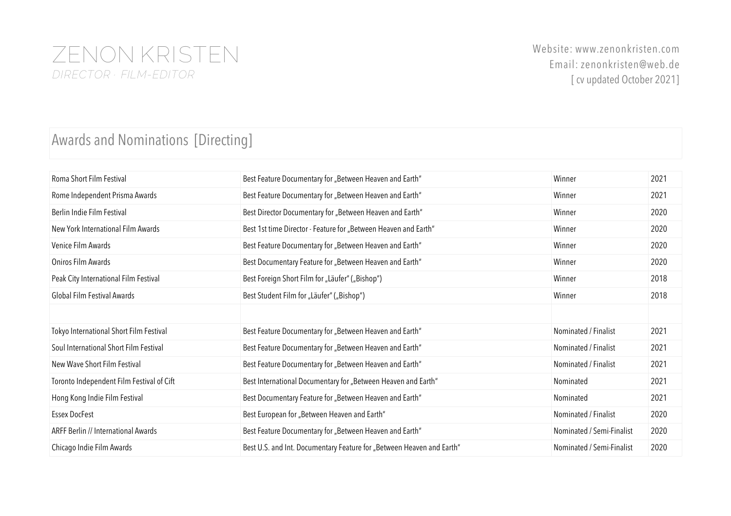### ZENON KRISTEN *DIRECTOR · FILM-EDITOR*

#### Awards and Nominations [Directing]

| Roma Short Film Festival                  | Best Feature Documentary for "Between Heaven and Earth"               | Winner                    | 2021 |
|-------------------------------------------|-----------------------------------------------------------------------|---------------------------|------|
| Rome Independent Prisma Awards            | Best Feature Documentary for "Between Heaven and Earth"               | Winner                    | 2021 |
| Berlin Indie Film Festival                | Best Director Documentary for "Between Heaven and Earth"              | Winner                    | 2020 |
| New York International Film Awards        | Best 1st time Director - Feature for "Between Heaven and Earth"       | Winner                    | 2020 |
| Venice Film Awards                        | Best Feature Documentary for "Between Heaven and Earth"               | Winner                    | 2020 |
| Oniros Film Awards                        | Best Documentary Feature for "Between Heaven and Earth"               | Winner                    | 2020 |
| Peak City International Film Festival     | Best Foreign Short Film for "Läufer" ("Bishop")                       | Winner                    | 2018 |
| Global Film Festival Awards               | Best Student Film for "Läufer" ("Bishop")                             | Winner                    | 2018 |
|                                           |                                                                       |                           |      |
| Tokyo International Short Film Festival   | Best Feature Documentary for "Between Heaven and Earth"               | Nominated / Finalist      | 2021 |
| Soul International Short Film Festival    | Best Feature Documentary for "Between Heaven and Earth"               | Nominated / Finalist      | 2021 |
| New Wave Short Film Festival              | Best Feature Documentary for "Between Heaven and Earth"               | Nominated / Finalist      | 2021 |
| Toronto Independent Film Festival of Cift | Best International Documentary for "Between Heaven and Earth"         | Nominated                 | 2021 |
| Hong Kong Indie Film Festival             | Best Documentary Feature for "Between Heaven and Earth"               | Nominated                 | 2021 |
| <b>Essex DocFest</b>                      | Best European for "Between Heaven and Earth"                          | Nominated / Finalist      | 2020 |
| ARFF Berlin // International Awards       | Best Feature Documentary for "Between Heaven and Earth"               | Nominated / Semi-Finalist | 2020 |
| Chicago Indie Film Awards                 | Best U.S. and Int. Documentary Feature for "Between Heaven and Earth" | Nominated / Semi-Finalist | 2020 |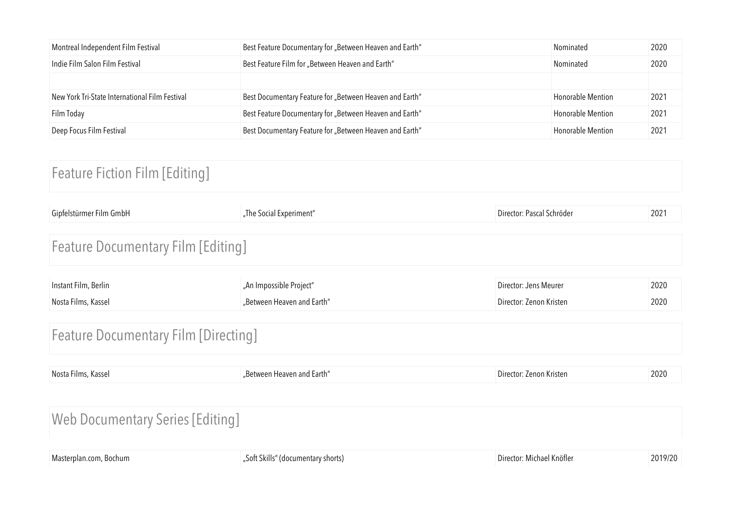| Montreal Independent Film Festival             | Best Feature Documentary for "Between Heaven and Earth" | Nominated                | 2020 |
|------------------------------------------------|---------------------------------------------------------|--------------------------|------|
| Indie Film Salon Film Festival                 | Best Feature Film for "Between Heaven and Earth"        | Nominated                | 2020 |
|                                                |                                                         |                          |      |
| New York Tri-State International Film Festival | Best Documentary Feature for "Between Heaven and Earth" | <b>Honorable Mention</b> | 2021 |
| Film Today                                     | Best Feature Documentary for "Between Heaven and Earth" | <b>Honorable Mention</b> | 2021 |
| Deep Focus Film Festival                       | Best Documentary Feature for "Between Heaven and Earth" | <b>Honorable Mention</b> | 2021 |

### Feature Fiction Film [Editing]

| Gipfelstürmer Film GmbH                     | "The Social Experiment"                               | Director: Pascal Schröder                        | 2021         |  |
|---------------------------------------------|-------------------------------------------------------|--------------------------------------------------|--------------|--|
| <b>Feature Documentary Film [Editing]</b>   |                                                       |                                                  |              |  |
| Instant Film, Berlin<br>Nosta Films, Kassel | "An Impossible Project"<br>"Between Heaven and Earth" | Director: Jens Meurer<br>Director: Zenon Kristen | 2020<br>2020 |  |
| <b>Feature Documentary Film [Directing]</b> |                                                       |                                                  |              |  |

| Nosta Films, Kassel | "Between Heaven and Earth" | Director: Zenon Kristen | 2020 |
|---------------------|----------------------------|-------------------------|------|
|                     |                            |                         |      |

## Web Documentary Series [Editing]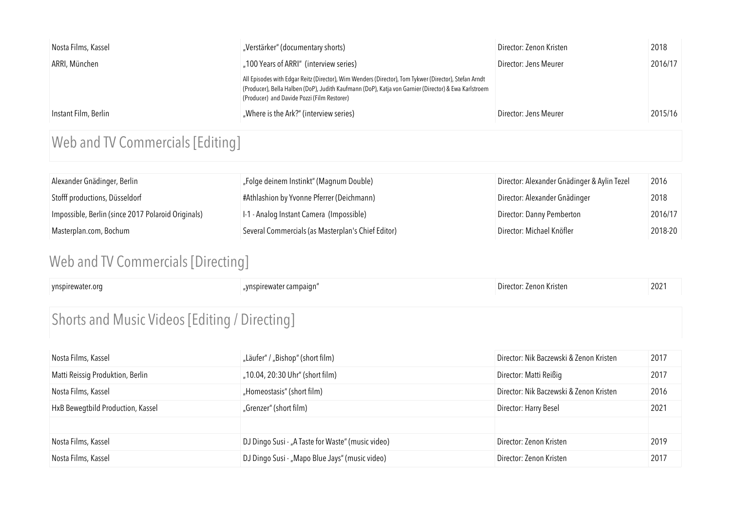| Nosta Films, Kassel  | "Verstärker" (documentary shorts)                                                                                                                                                                                                                            | Director: Zenon Kristen | 2018    |
|----------------------|--------------------------------------------------------------------------------------------------------------------------------------------------------------------------------------------------------------------------------------------------------------|-------------------------|---------|
| ARRI, München        | "100 Years of ARRI" (interview series)                                                                                                                                                                                                                       | Director: Jens Meurer   | 2016/17 |
|                      | All Episodes with Edgar Reitz (Director), Wim Wenders (Director), Tom Tykwer (Director), Stefan Arndt<br>(Producer), Bella Halben (DoP), Judith Kaufmann (DoP), Katja von Garnier (Director) & Ewa Karlstroem<br>(Producer) and Davide Pozzi (Film Restorer) |                         |         |
| Instant Film, Berlin | "Where is the Ark?" (interview series)                                                                                                                                                                                                                       | Director: Jens Meurer   | 2015/16 |

## Web and TV Commercials [Editing]

| Alexander Gnädinger, Berlin                        | "Folge deinem Instinkt" (Magnum Double)            | Director: Alexander Gnädinger & Aylin Tezel | 2016    |
|----------------------------------------------------|----------------------------------------------------|---------------------------------------------|---------|
| Stofff productions, Düsseldorf                     | #Athlashion by Yvonne Pferrer (Deichmann)          | Director: Alexander Gnädinger               | 2018    |
| Impossible, Berlin (since 2017 Polaroid Originals) | I-1 - Analog Instant Camera (Impossible)           | Director: Danny Pemberton                   | 2016/17 |
| Masterplan.com, Bochum                             | Several Commercials (as Masterplan's Chief Editor) | Director: Michael Knöfler                   | 2018-20 |

### Web and TV Commercials [Directing]

| ynspirewater.org                              | "ynspirewater campaign" | Director: Zenon Kristen | 2021 |
|-----------------------------------------------|-------------------------|-------------------------|------|
| Shorts and Music Videos [Editing / Directing] |                         |                         |      |

| Nosta Films, Kassel               | "Läufer" / "Bishop" (short film)                  | Director: Nik Baczewski & Zenon Kristen | 2017 |
|-----------------------------------|---------------------------------------------------|-----------------------------------------|------|
| Matti Reissig Produktion, Berlin  | "10.04, 20:30 Uhr" (short film)                   | Director: Matti Reißig                  | 2017 |
| Nosta Films, Kassel               | "Homeostasis" (short film)                        | Director: Nik Baczewski & Zenon Kristen | 2016 |
| HxB Bewegtbild Production, Kassel | "Grenzer" (short film)                            | Director: Harry Besel                   | 2021 |
|                                   |                                                   |                                         |      |
| Nosta Films, Kassel               | DJ Dingo Susi - "A Taste for Waste" (music video) | Director: Zenon Kristen                 | 2019 |
| Nosta Films, Kassel               | DJ Dingo Susi - "Mapo Blue Jays" (music video)    | Director: Zenon Kristen                 | 2017 |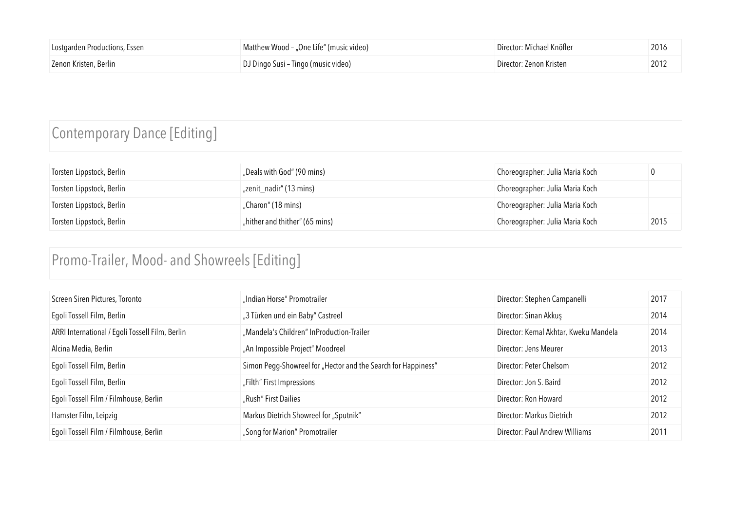| Lostgarden Productions, Essen | Matthew Wood - "One Life" (music video) | Director: Michael Knöfler | 2016 |
|-------------------------------|-----------------------------------------|---------------------------|------|
| Zenon Kristen, Berlin         | DJ Dingo Susi - Tingo (music video)     | Director: Zenon Kristen   | 2012 |

## Contemporary Dance [Editing]

| Torsten Lippstock, Berlin | "Deals with God" (90 mins)     | Choreographer: Julia Maria Koch |      |
|---------------------------|--------------------------------|---------------------------------|------|
| Torsten Lippstock, Berlin | "zenit_nadir" (13 mins)        | Choreographer: Julia Maria Koch |      |
| Torsten Lippstock, Berlin | "Charon" (18 mins)             | Choreographer: Julia Maria Koch |      |
| Torsten Lippstock, Berlin | "hither and thither" (65 mins) | Choreographer: Julia Maria Koch | 2015 |

## Promo-Trailer, Mood- and Showreels [Editing]

| Screen Siren Pictures, Toronto                  | "Indian Horse" Promotrailer                                   | Director: Stephen Campanelli          | 2017 |
|-------------------------------------------------|---------------------------------------------------------------|---------------------------------------|------|
| Egoli Tossell Film, Berlin                      | "3 Türken und ein Baby" Castreel                              | Director: Sinan Akkuş                 | 2014 |
| ARRI International / Egoli Tossell Film, Berlin | "Mandela's Children" InProduction-Trailer                     | Director: Kemal Akhtar, Kweku Mandela | 2014 |
| Alcina Media, Berlin                            | "An Impossible Project" Moodreel                              | Director: Jens Meurer                 | 2013 |
| Egoli Tossell Film, Berlin                      | Simon Pegg-Showreel for "Hector and the Search for Happiness" | Director: Peter Chelsom               | 2012 |
| Egoli Tossell Film, Berlin                      | "Filth" First Impressions                                     | Director: Jon S. Baird                | 2012 |
| Egoli Tossell Film / Filmhouse, Berlin          | "Rush" First Dailies                                          | Director: Ron Howard                  | 2012 |
| Hamster Film, Leipzig                           | Markus Dietrich Showreel for "Sputnik"                        | Director: Markus Dietrich             | 2012 |
| Egoli Tossell Film / Filmhouse, Berlin          | "Song for Marion" Promotrailer                                | Director: Paul Andrew Williams        | 2011 |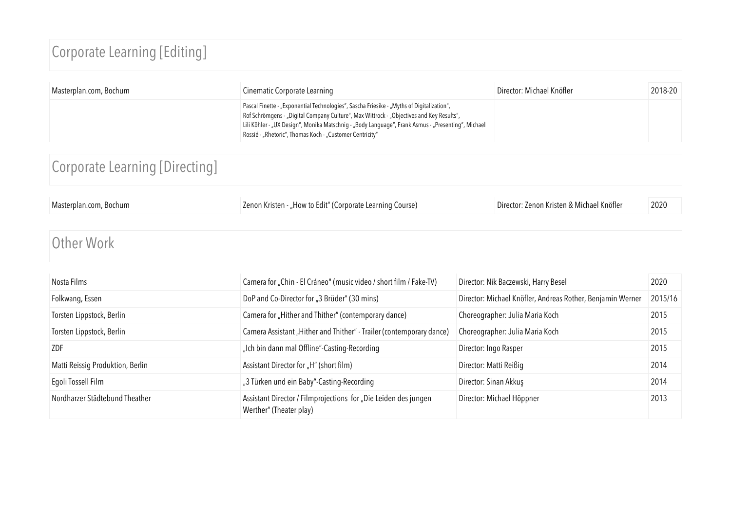## Corporate Learning [Editing]

| Masterplan.com, Bochum | Cinematic Corporate Learning                                                                                                                                                                                                                                                                                                                            | Director: Michael Knöfler | $2018-20$ |
|------------------------|---------------------------------------------------------------------------------------------------------------------------------------------------------------------------------------------------------------------------------------------------------------------------------------------------------------------------------------------------------|---------------------------|-----------|
|                        | Pascal Finette - "Exponential Technologies", Sascha Friesike - "Myths of Digitalization",<br>Rof Schrömgens - "Digital Company Culture", Max Wittrock - "Objectives and Key Results",<br>Lili Köhler - "UX Design", Monika Matschnig - "Body Language", Frank Asmus - "Presenting", Michael<br>Rossié - "Rhetoric", Thomas Koch - "Customer Centricity" |                           |           |

# Corporate Learning [Directing]

| Masterplan.com, Bochum | Zenon Kristen - "How to Edit" (Corporate Learning Course) | Director: Zenon Kristen & Michael Knöfler | 2020 |
|------------------------|-----------------------------------------------------------|-------------------------------------------|------|
|                        |                                                           |                                           |      |
|                        |                                                           |                                           |      |

#### Other Work

| Nosta Films                      | Camera for "Chin - El Cráneo" (music video / short film / Fake-TV)                         | Director: Nik Baczewski, Harry Besel                       | 2020    |
|----------------------------------|--------------------------------------------------------------------------------------------|------------------------------------------------------------|---------|
| Folkwang, Essen                  | DoP and Co-Director for "3 Brüder" (30 mins)                                               | Director: Michael Knöfler, Andreas Rother, Benjamin Werner | 2015/16 |
| Torsten Lippstock, Berlin        | Camera for "Hither and Thither" (contemporary dance)                                       | Choreographer: Julia Maria Koch                            | 2015    |
| Torsten Lippstock, Berlin        | Camera Assistant "Hither and Thither" - Trailer (contemporary dance)                       | Choreographer: Julia Maria Koch                            | 2015    |
| ZDF                              | "Ich bin dann mal Offline"-Casting-Recording                                               | Director: Ingo Rasper                                      | 2015    |
| Matti Reissig Produktion, Berlin | Assistant Director for "H" (short film)                                                    | Director: Matti Reißig                                     | 2014    |
| Egoli Tossell Film               | "3 Türken und ein Baby"-Casting-Recording                                                  | Director: Sinan Akkuş                                      | 2014    |
| Nordharzer Städtebund Theather   | Assistant Director / Filmprojections for "Die Leiden des jungen<br>Werther" (Theater play) | Director: Michael Höppner                                  | 2013    |